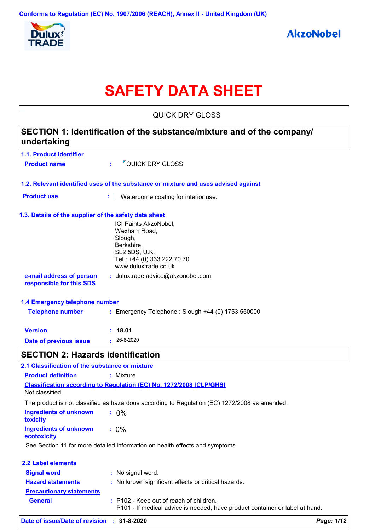

# **SAFETY DATA SHEET**

| <b>QUICK DRY GLOSS</b>                                                                |                                                                                                                                        |  |  |
|---------------------------------------------------------------------------------------|----------------------------------------------------------------------------------------------------------------------------------------|--|--|
| SECTION 1: Identification of the substance/mixture and of the company/<br>undertaking |                                                                                                                                        |  |  |
| 1.1. Product identifier                                                               |                                                                                                                                        |  |  |
| <b>Product name</b>                                                                   | <sup>7</sup> QUICK DRY GLOSS<br>÷                                                                                                      |  |  |
|                                                                                       | 1.2. Relevant identified uses of the substance or mixture and uses advised against                                                     |  |  |
| <b>Product use</b>                                                                    | Waterborne coating for interior use.                                                                                                   |  |  |
| 1.3. Details of the supplier of the safety data sheet                                 | ICI Paints AkzoNobel,<br>Wexham Road,<br>Slough,<br>Berkshire,<br>SL2 5DS, U.K.<br>Tel.: +44 (0) 333 222 70 70<br>www.duluxtrade.co.uk |  |  |
| e-mail address of person<br>responsible for this SDS                                  | : duluxtrade.advice@akzonobel.com                                                                                                      |  |  |
| 1.4 Emergency telephone number                                                        |                                                                                                                                        |  |  |
| <b>Telephone number</b>                                                               | : Emergency Telephone : Slough +44 (0) 1753 550000                                                                                     |  |  |
| <b>Version</b>                                                                        | 18.01                                                                                                                                  |  |  |
| Date of previous issue                                                                | $\cdot$ 26-8-2020                                                                                                                      |  |  |
| <b>SECTION 2: Hazards identification</b>                                              |                                                                                                                                        |  |  |
| 2.1 Classification of the substance or mixture                                        |                                                                                                                                        |  |  |
| <b>Product definition</b>                                                             | : Mixture                                                                                                                              |  |  |
| Not classified.                                                                       | <b>Classification according to Regulation (EC) No. 1272/2008 [CLP/GHS]</b>                                                             |  |  |
|                                                                                       | The product is not classified as hazardous according to Regulation (EC) 1272/2008 as amended.                                          |  |  |
| <b>Ingredients of unknown</b><br>toxicity                                             | $: 0\%$                                                                                                                                |  |  |
| <b>Ingredients of unknown</b><br>ecotoxicity                                          | $: 0\%$                                                                                                                                |  |  |
|                                                                                       | See Section 11 for more detailed information on health effects and symptoms.                                                           |  |  |
| <b>2.2 Label elements</b>                                                             |                                                                                                                                        |  |  |
| <b>Signal word</b>                                                                    | : No signal word.                                                                                                                      |  |  |
| <b>Hazard statements</b>                                                              | : No known significant effects or critical hazards.                                                                                    |  |  |
| <b>Precautionary statements</b>                                                       |                                                                                                                                        |  |  |
| <b>General</b>                                                                        | : P102 - Keep out of reach of children.<br>P101 - If medical advice is needed, have product container or label at hand.                |  |  |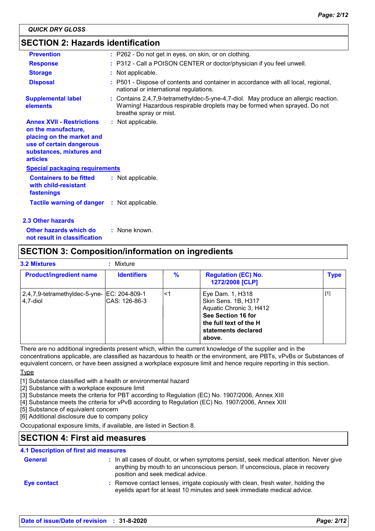### **SECTION 2: Hazards identification**

| <b>Prevention</b>                                                                                                                                               | : P262 - Do not get in eyes, on skin, or on clothing.                                                                                                                                      |
|-----------------------------------------------------------------------------------------------------------------------------------------------------------------|--------------------------------------------------------------------------------------------------------------------------------------------------------------------------------------------|
| <b>Response</b>                                                                                                                                                 | : P312 - Call a POISON CENTER or doctor/physician if you feel unwell.                                                                                                                      |
| <b>Storage</b>                                                                                                                                                  | : Not applicable.                                                                                                                                                                          |
| <b>Disposal</b>                                                                                                                                                 | : P501 - Dispose of contents and container in accordance with all local, regional,<br>national or international regulations.                                                               |
| <b>Supplemental label</b><br>elements                                                                                                                           | : Contains 2,4,7,9-tetramethyldec-5-yne-4,7-diol. May produce an allergic reaction.<br>Warning! Hazardous respirable droplets may be formed when sprayed. Do not<br>breathe spray or mist. |
| <b>Annex XVII - Restrictions</b><br>on the manufacture,<br>placing on the market and<br>use of certain dangerous<br>substances, mixtures and<br><b>articles</b> | : Not applicable.                                                                                                                                                                          |
| <b>Special packaging requirements</b>                                                                                                                           |                                                                                                                                                                                            |
| <b>Containers to be fitted</b><br>with child-resistant<br>fastenings                                                                                            | : Not applicable.                                                                                                                                                                          |
| <b>Tactile warning of danger</b>                                                                                                                                | : Not applicable.                                                                                                                                                                          |
| <b>2.3 Other hazards</b>                                                                                                                                        |                                                                                                                                                                                            |

**Other hazards which do : not result in classification** : None known.

### **SECTION 3: Composition/information on ingredients**

| <b>3.2 Mixtures</b>                                       | Mixture            |    |                                                                                                                                                     |             |
|-----------------------------------------------------------|--------------------|----|-----------------------------------------------------------------------------------------------------------------------------------------------------|-------------|
| <b>Product/ingredient name</b>                            | <b>Identifiers</b> | %  | <b>Regulation (EC) No.</b><br>1272/2008 [CLP]                                                                                                       | <b>Type</b> |
| 2,4,7,9-tetramethyldec-5-yne-   EC: 204-809-1<br>4.7-diol | ICAS: 126-86-3     | <1 | Eye Dam. 1, H318<br>Skin Sens. 1B, H317<br>Aquatic Chronic 3, H412<br>See Section 16 for<br>the full text of the H<br>statements declared<br>above. | $[1]$       |

There are no additional ingredients present which, within the current knowledge of the supplier and in the concentrations applicable, are classified as hazardous to health or the environment, are PBTs, vPvBs or Substances of

equivalent concern, or have been assigned a workplace exposure limit and hence require reporting in this section.

Type

[1] Substance classified with a health or environmental hazard

[2] Substance with a workplace exposure limit

[3] Substance meets the criteria for PBT according to Regulation (EC) No. 1907/2006, Annex XIII

[4] Substance meets the criteria for vPvB according to Regulation (EC) No. 1907/2006, Annex XIII

[5] Substance of equivalent concern

[6] Additional disclosure due to company policy

Occupational exposure limits, if available, are listed in Section 8.

### **SECTION 4: First aid measures**

#### **4.1 Description of first aid measures**

| <b>General</b>     | : In all cases of doubt, or when symptoms persist, seek medical attention. Never give<br>anything by mouth to an unconscious person. If unconscious, place in recovery<br>position and seek medical advice. |
|--------------------|-------------------------------------------------------------------------------------------------------------------------------------------------------------------------------------------------------------|
| <b>Eye contact</b> | : Remove contact lenses, irrigate copiously with clean, fresh water, holding the<br>eyelids apart for at least 10 minutes and seek immediate medical advice.                                                |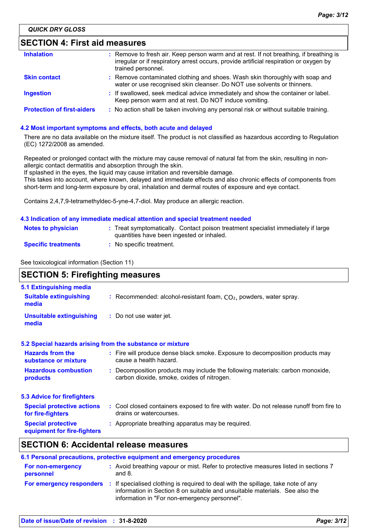### **SECTION 4: First aid measures**

| <b>Inhalation</b>                 | : Remove to fresh air. Keep person warm and at rest. If not breathing, if breathing is<br>irregular or if respiratory arrest occurs, provide artificial respiration or oxygen by<br>trained personnel. |
|-----------------------------------|--------------------------------------------------------------------------------------------------------------------------------------------------------------------------------------------------------|
| <b>Skin contact</b>               | : Remove contaminated clothing and shoes. Wash skin thoroughly with soap and<br>water or use recognised skin cleanser. Do NOT use solvents or thinners.                                                |
| <b>Ingestion</b>                  | : If swallowed, seek medical advice immediately and show the container or label.<br>Keep person warm and at rest. Do NOT induce vomiting.                                                              |
| <b>Protection of first-aiders</b> | : No action shall be taken involving any personal risk or without suitable training.                                                                                                                   |

#### **4.2 Most important symptoms and effects, both acute and delayed**

There are no data available on the mixture itself. The product is not classified as hazardous according to Regulation (EC) 1272/2008 as amended.

Repeated or prolonged contact with the mixture may cause removal of natural fat from the skin, resulting in nonallergic contact dermatitis and absorption through the skin.

If splashed in the eyes, the liquid may cause irritation and reversible damage.

This takes into account, where known, delayed and immediate effects and also chronic effects of components from short-term and long-term exposure by oral, inhalation and dermal routes of exposure and eye contact.

Contains 2,4,7,9-tetramethyldec-5-yne-4,7-diol. May produce an allergic reaction.

#### **4.3 Indication of any immediate medical attention and special treatment needed**

| <b>Notes to physician</b>  | Treat symptomatically. Contact poison treatment specialist immediately if large |
|----------------------------|---------------------------------------------------------------------------------|
|                            | quantities have been ingested or inhaled.                                       |
| <b>Specific treatments</b> | No specific treatment.                                                          |

See toxicological information (Section 11)

### **SECTION 5: Firefighting measures**

| 5.1 Extinguishing media                                   |                                                                                                                              |
|-----------------------------------------------------------|------------------------------------------------------------------------------------------------------------------------------|
| <b>Suitable extinguishing</b><br>media                    | : Recommended: alcohol-resistant foam, $CO2$ , powders, water spray.                                                         |
| <b>Unsuitable extinguishing</b><br>media                  | : Do not use water jet.                                                                                                      |
| 5.2 Special hazards arising from the substance or mixture |                                                                                                                              |
| <b>Hazards from the</b><br>substance or mixture           | : Fire will produce dense black smoke. Exposure to decomposition products may<br>cause a health hazard.                      |
| <b>Hazardous combustion</b><br>products                   | : Decomposition products may include the following materials: carbon monoxide,<br>carbon dioxide, smoke, oxides of nitrogen. |
| <b>5.3 Advice for firefighters</b>                        |                                                                                                                              |
| <b>Special protective actions</b><br>for fire-fighters    | : Cool closed containers exposed to fire with water. Do not release runoff from fire to<br>drains or watercourses.           |
| <b>Special protective</b><br>equipment for fire-fighters  | : Appropriate breathing apparatus may be required.                                                                           |

### **SECTION 6: Accidental release measures**

| 6.1 Personal precautions, protective equipment and emergency procedures |  |                                                                                                                                                                                                                   |  |
|-------------------------------------------------------------------------|--|-------------------------------------------------------------------------------------------------------------------------------------------------------------------------------------------------------------------|--|
| For non-emergency<br>personnel                                          |  | : Avoid breathing vapour or mist. Refer to protective measures listed in sections 7<br>and $8.$                                                                                                                   |  |
| For emergency responders                                                |  | : If specialised clothing is required to deal with the spillage, take note of any<br>information in Section 8 on suitable and unsuitable materials. See also the<br>information in "For non-emergency personnel". |  |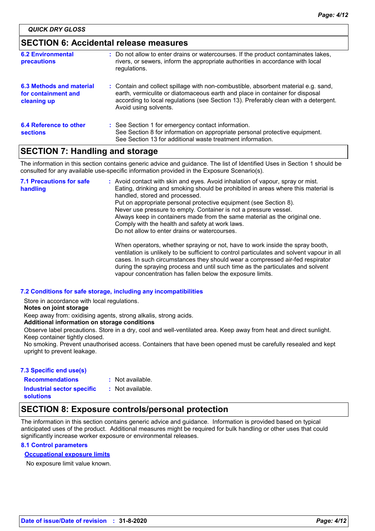### **SECTION 6: Accidental release measures**

| <b>6.2 Environmental</b><br>precautions                        | : Do not allow to enter drains or watercourses. If the product contaminates lakes,<br>rivers, or sewers, inform the appropriate authorities in accordance with local<br>regulations.                                                                                               |
|----------------------------------------------------------------|------------------------------------------------------------------------------------------------------------------------------------------------------------------------------------------------------------------------------------------------------------------------------------|
| 6.3 Methods and material<br>for containment and<br>cleaning up | : Contain and collect spillage with non-combustible, absorbent material e.g. sand,<br>earth, vermiculite or diatomaceous earth and place in container for disposal<br>according to local regulations (see Section 13). Preferably clean with a detergent.<br>Avoid using solvents. |
| <b>6.4 Reference to other</b><br><b>sections</b>               | : See Section 1 for emergency contact information.<br>See Section 8 for information on appropriate personal protective equipment.<br>See Section 13 for additional waste treatment information.                                                                                    |

### **SECTION 7: Handling and storage**

The information in this section contains generic advice and guidance. The list of Identified Uses in Section 1 should be consulted for any available use-specific information provided in the Exposure Scenario(s).

Avoid contact with skin and eyes. Avoid inhalation of vapour, spray or mist. **:** Eating, drinking and smoking should be prohibited in areas where this material is handled, stored and processed. Put on appropriate personal protective equipment (see Section 8). Never use pressure to empty. Container is not a pressure vessel. Always keep in containers made from the same material as the original one. Comply with the health and safety at work laws. Do not allow to enter drains or watercourses. When operators, whether spraying or not, have to work inside the spray booth, ventilation is unlikely to be sufficient to control particulates and solvent vapour in all cases. In such circumstances they should wear a compressed air-fed respirator during the spraying process and until such time as the particulates and solvent vapour concentration has fallen below the exposure limits. **7.1 Precautions for safe handling**

#### **7.2 Conditions for safe storage, including any incompatibilities**

Store in accordance with local regulations.

**Notes on joint storage**

Keep away from: oxidising agents, strong alkalis, strong acids.

**Additional information on storage conditions**

Observe label precautions. Store in a dry, cool and well-ventilated area. Keep away from heat and direct sunlight. Keep container tightly closed.

No smoking. Prevent unauthorised access. Containers that have been opened must be carefully resealed and kept upright to prevent leakage.

#### **7.3 Specific end use(s)**

**Recommendations :**

Not available.

**Industrial sector specific : solutions**

: Not available.

## **SECTION 8: Exposure controls/personal protection**

The information in this section contains generic advice and guidance. Information is provided based on typical anticipated uses of the product. Additional measures might be required for bulk handling or other uses that could significantly increase worker exposure or environmental releases.

#### **8.1 Control parameters**

#### **Occupational exposure limits**

No exposure limit value known.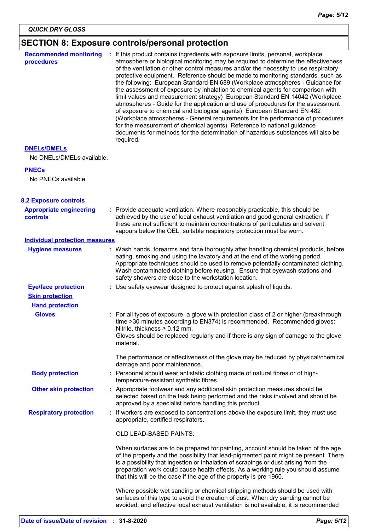### **SECTION 8: Exposure controls/personal protection**

| <b>Recommended monitoring</b><br>procedures | : If this product contains ingredients with exposure limits, personal, workplace<br>atmosphere or biological monitoring may be required to determine the effectiveness<br>of the ventilation or other control measures and/or the necessity to use respiratory<br>protective equipment. Reference should be made to monitoring standards, such as<br>the following: European Standard EN 689 (Workplace atmospheres - Guidance for<br>the assessment of exposure by inhalation to chemical agents for comparison with<br>limit values and measurement strategy) European Standard EN 14042 (Workplace<br>atmospheres - Guide for the application and use of procedures for the assessment<br>of exposure to chemical and biological agents) European Standard EN 482<br>(Workplace atmospheres - General requirements for the performance of procedures<br>for the measurement of chemical agents) Reference to national guidance<br>documents for methods for the determination of hazardous substances will also be<br>required. |  |
|---------------------------------------------|------------------------------------------------------------------------------------------------------------------------------------------------------------------------------------------------------------------------------------------------------------------------------------------------------------------------------------------------------------------------------------------------------------------------------------------------------------------------------------------------------------------------------------------------------------------------------------------------------------------------------------------------------------------------------------------------------------------------------------------------------------------------------------------------------------------------------------------------------------------------------------------------------------------------------------------------------------------------------------------------------------------------------------|--|
| <b>DNELS/DMELS</b>                          |                                                                                                                                                                                                                                                                                                                                                                                                                                                                                                                                                                                                                                                                                                                                                                                                                                                                                                                                                                                                                                    |  |
| No DNELs/DMELs available.                   |                                                                                                                                                                                                                                                                                                                                                                                                                                                                                                                                                                                                                                                                                                                                                                                                                                                                                                                                                                                                                                    |  |
| <b>PNECs</b>                                |                                                                                                                                                                                                                                                                                                                                                                                                                                                                                                                                                                                                                                                                                                                                                                                                                                                                                                                                                                                                                                    |  |
| No PNECs available                          |                                                                                                                                                                                                                                                                                                                                                                                                                                                                                                                                                                                                                                                                                                                                                                                                                                                                                                                                                                                                                                    |  |
| <b>8.2 Exposure controls</b>                |                                                                                                                                                                                                                                                                                                                                                                                                                                                                                                                                                                                                                                                                                                                                                                                                                                                                                                                                                                                                                                    |  |
| <b>Appropriate engineering</b><br>controls  | : Provide adequate ventilation. Where reasonably practicable, this should be<br>achieved by the use of local exhaust ventilation and good general extraction. If<br>these are not sufficient to maintain concentrations of particulates and solvent<br>vapours below the OEL, suitable respiratory protection must be worn.                                                                                                                                                                                                                                                                                                                                                                                                                                                                                                                                                                                                                                                                                                        |  |
| <b>Individual protection measures</b>       |                                                                                                                                                                                                                                                                                                                                                                                                                                                                                                                                                                                                                                                                                                                                                                                                                                                                                                                                                                                                                                    |  |
| <b>Hygiene measures</b>                     | : Wash hands, forearms and face thoroughly after handling chemical products, before<br>eating, smoking and using the lavatory and at the end of the working period.<br>Appropriate techniques should be used to remove potentially contaminated clothing.<br>Wash contaminated clothing before reusing. Ensure that eyewash stations and<br>safety showers are close to the workstation location.                                                                                                                                                                                                                                                                                                                                                                                                                                                                                                                                                                                                                                  |  |
| <b>Eye/face protection</b>                  | : Use safety eyewear designed to protect against splash of liquids.                                                                                                                                                                                                                                                                                                                                                                                                                                                                                                                                                                                                                                                                                                                                                                                                                                                                                                                                                                |  |
| <b>Skin protection</b>                      |                                                                                                                                                                                                                                                                                                                                                                                                                                                                                                                                                                                                                                                                                                                                                                                                                                                                                                                                                                                                                                    |  |
| <b>Hand protection</b>                      |                                                                                                                                                                                                                                                                                                                                                                                                                                                                                                                                                                                                                                                                                                                                                                                                                                                                                                                                                                                                                                    |  |
| <b>Gloves</b>                               | : For all types of exposure, a glove with protection class of 2 or higher (breakthrough<br>time >30 minutes according to EN374) is recommended. Recommended gloves:<br>Nitrile, thickness $\geq 0.12$ mm.<br>Gloves should be replaced regularly and if there is any sign of damage to the glove<br>material.                                                                                                                                                                                                                                                                                                                                                                                                                                                                                                                                                                                                                                                                                                                      |  |
|                                             | The performance or effectiveness of the glove may be reduced by physical/chemical<br>damage and poor maintenance.                                                                                                                                                                                                                                                                                                                                                                                                                                                                                                                                                                                                                                                                                                                                                                                                                                                                                                                  |  |
| <b>Body protection</b>                      | : Personnel should wear antistatic clothing made of natural fibres or of high-<br>temperature-resistant synthetic fibres.                                                                                                                                                                                                                                                                                                                                                                                                                                                                                                                                                                                                                                                                                                                                                                                                                                                                                                          |  |
| <b>Other skin protection</b>                | : Appropriate footwear and any additional skin protection measures should be<br>selected based on the task being performed and the risks involved and should be<br>approved by a specialist before handling this product.                                                                                                                                                                                                                                                                                                                                                                                                                                                                                                                                                                                                                                                                                                                                                                                                          |  |
| <b>Respiratory protection</b>               | : If workers are exposed to concentrations above the exposure limit, they must use<br>appropriate, certified respirators.                                                                                                                                                                                                                                                                                                                                                                                                                                                                                                                                                                                                                                                                                                                                                                                                                                                                                                          |  |
|                                             | OLD LEAD-BASED PAINTS:                                                                                                                                                                                                                                                                                                                                                                                                                                                                                                                                                                                                                                                                                                                                                                                                                                                                                                                                                                                                             |  |
|                                             | When surfaces are to be prepared for painting, account should be taken of the age<br>of the property and the possibility that lead-pigmented paint might be present. There<br>is a possibility that ingestion or inhalation of scrapings or dust arising from the<br>preparation work could cause health effects. As a working rule you should assume<br>that this will be the case if the age of the property is pre 1960.                                                                                                                                                                                                                                                                                                                                                                                                                                                                                                                                                                                                        |  |
|                                             | Where possible wet sanding or chemical stripping methods should be used with<br>surfaces of this type to avoid the creation of dust. When dry sanding cannot be<br>avoided, and effective local exhaust ventilation is not available, it is recommended                                                                                                                                                                                                                                                                                                                                                                                                                                                                                                                                                                                                                                                                                                                                                                            |  |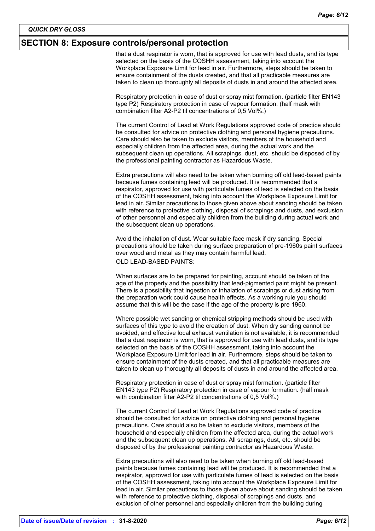#### **SECTION 8: Exposure controls/personal protection**

that a dust respirator is worn, that is approved for use with lead dusts, and its type selected on the basis of the COSHH assessment, taking into account the Workplace Exposure Limit for lead in air. Furthermore, steps should be taken to ensure containment of the dusts created, and that all practicable measures are taken to clean up thoroughly all deposits of dusts in and around the affected area.

Respiratory protection in case of dust or spray mist formation. (particle filter EN143 type P2) Respiratory protection in case of vapour formation. (half mask with combination filter A2-P2 til concentrations of 0,5 Vol%.)

The current Control of Lead at Work Regulations approved code of practice should be consulted for advice on protective clothing and personal hygiene precautions. Care should also be taken to exclude visitors, members of the household and especially children from the affected area, during the actual work and the subsequent clean up operations. All scrapings, dust, etc. should be disposed of by the professional painting contractor as Hazardous Waste.

Extra precautions will also need to be taken when burning off old lead-based paints because fumes containing lead will be produced. It is recommended that a respirator, approved for use with particulate fumes of lead is selected on the basis of the COSHH assessment, taking into account the Workplace Exposure Limit for lead in air. Similar precautions to those given above about sanding should be taken with reference to protective clothing, disposal of scrapings and dusts, and exclusion of other personnel and especially children from the building during actual work and the subsequent clean up operations.

Avoid the inhalation of dust. Wear suitable face mask if dry sanding. Special precautions should be taken during surface preparation of pre-1960s paint surfaces over wood and metal as they may contain harmful lead. OLD LEAD-BASED PAINTS:

When surfaces are to be prepared for painting, account should be taken of the age of the property and the possibility that lead-pigmented paint might be present. There is a possibility that ingestion or inhalation of scrapings or dust arising from the preparation work could cause health effects. As a working rule you should assume that this will be the case if the age of the property is pre 1960.

Where possible wet sanding or chemical stripping methods should be used with surfaces of this type to avoid the creation of dust. When dry sanding cannot be avoided, and effective local exhaust ventilation is not available, it is recommended that a dust respirator is worn, that is approved for use with lead dusts, and its type selected on the basis of the COSHH assessment, taking into account the Workplace Exposure Limit for lead in air. Furthermore, steps should be taken to ensure containment of the dusts created, and that all practicable measures are taken to clean up thoroughly all deposits of dusts in and around the affected area.

Respiratory protection in case of dust or spray mist formation. (particle filter EN143 type P2) Respiratory protection in case of vapour formation. (half mask with combination filter A2-P2 til concentrations of 0,5 Vol%.)

The current Control of Lead at Work Regulations approved code of practice should be consulted for advice on protective clothing and personal hygiene precautions. Care should also be taken to exclude visitors, members of the household and especially children from the affected area, during the actual work and the subsequent clean up operations. All scrapings, dust, etc. should be disposed of by the professional painting contractor as Hazardous Waste.

Extra precautions will also need to be taken when burning off old lead-based paints because fumes containing lead will be produced. It is recommended that a respirator, approved for use with particulate fumes of lead is selected on the basis of the COSHH assessment, taking into account the Workplace Exposure Limit for lead in air. Similar precautions to those given above about sanding should be taken with reference to protective clothing, disposal of scrapings and dusts, and exclusion of other personnel and especially children from the building during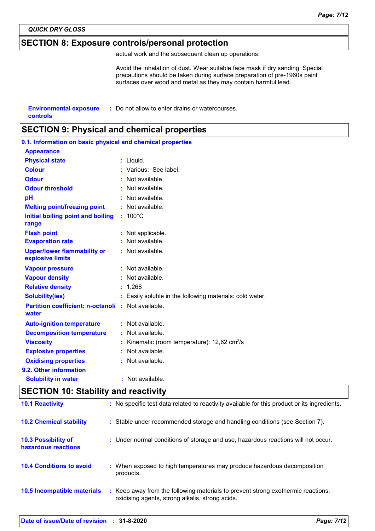*QUICK DRY GLOSS*

### **SECTION 8: Exposure controls/personal protection**

actual work and the subsequent clean up operations.

Avoid the inhalation of dust. Wear suitable face mask if dry sanding. Special precautions should be taken during surface preparation of pre-1960s paint surfaces over wood and metal as they may contain harmful lead.

| <b>Environmental exposure</b> | : Do not allow to enter drains or watercourses. |
|-------------------------------|-------------------------------------------------|
|                               |                                                 |

**controls**

### **SECTION 9: Physical and chemical properties**

| 9.1. Information on basic physical and chemical properties |  |                                                          |  |  |
|------------------------------------------------------------|--|----------------------------------------------------------|--|--|
| <b>Appearance</b>                                          |  |                                                          |  |  |
| <b>Physical state</b>                                      |  | : Liquid.                                                |  |  |
| <b>Colour</b>                                              |  | : Various: See label.                                    |  |  |
| <b>Odour</b>                                               |  | Not available.                                           |  |  |
| <b>Odour threshold</b>                                     |  | $:$ Not available.                                       |  |  |
| pH                                                         |  | Not available.                                           |  |  |
| <b>Melting point/freezing point</b>                        |  | : Not available.                                         |  |  |
| Initial boiling point and boiling<br>range                 |  | $: 100^{\circ}$ C                                        |  |  |
| <b>Flash point</b>                                         |  | : Not applicable.                                        |  |  |
| <b>Evaporation rate</b>                                    |  | Not available.                                           |  |  |
| <b>Upper/lower flammability or</b><br>explosive limits     |  | : Not available.                                         |  |  |
| <b>Vapour pressure</b>                                     |  | : Not available.                                         |  |  |
| <b>Vapour density</b>                                      |  | : Not available.                                         |  |  |
| <b>Relative density</b>                                    |  | : 1,268                                                  |  |  |
| <b>Solubility(ies)</b>                                     |  | : Easily soluble in the following materials: cold water. |  |  |
| <b>Partition coefficient: n-octanol/</b><br>water          |  | : Not available.                                         |  |  |
| <b>Auto-ignition temperature</b>                           |  | : Not available.                                         |  |  |
| <b>Decomposition temperature</b>                           |  | : Not available.                                         |  |  |
| <b>Viscosity</b>                                           |  | Kinematic (room temperature): 12,62 cm <sup>2</sup> /s   |  |  |
| <b>Explosive properties</b>                                |  | Not available.                                           |  |  |
| <b>Oxidising properties</b>                                |  | Not available.                                           |  |  |
| 9.2. Other information                                     |  |                                                          |  |  |
| <b>Solubility in water</b>                                 |  | : Not available.                                         |  |  |

### **SECTION 10: Stability and reactivity**

| <b>10.1 Reactivity</b>                            | : No specific test data related to reactivity available for this product or its ingredients.                                        |
|---------------------------------------------------|-------------------------------------------------------------------------------------------------------------------------------------|
| <b>10.2 Chemical stability</b>                    | : Stable under recommended storage and handling conditions (see Section 7).                                                         |
| <b>10.3 Possibility of</b><br>hazardous reactions | : Under normal conditions of storage and use, hazardous reactions will not occur.                                                   |
| <b>10.4 Conditions to avoid</b>                   | : When exposed to high temperatures may produce hazardous decomposition<br>products.                                                |
| 10.5 Incompatible materials                       | : Keep away from the following materials to prevent strong exothermic reactions:<br>oxidising agents, strong alkalis, strong acids. |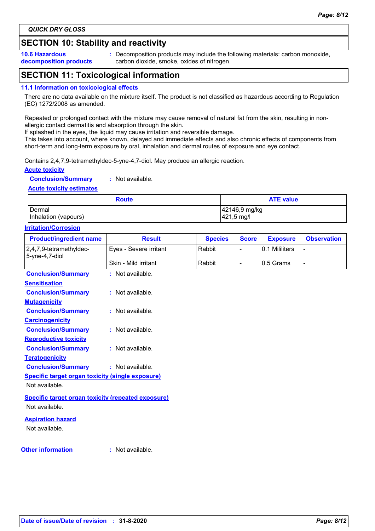### **SECTION 10: Stability and reactivity**

**10.6 Hazardous decomposition products** **:** Decomposition products may include the following materials: carbon monoxide, carbon dioxide, smoke, oxides of nitrogen.

### **SECTION 11: Toxicological information**

#### **11.1 Information on toxicological effects**

There are no data available on the mixture itself. The product is not classified as hazardous according to Regulation (EC) 1272/2008 as amended.

Repeated or prolonged contact with the mixture may cause removal of natural fat from the skin, resulting in nonallergic contact dermatitis and absorption through the skin.

If splashed in the eyes, the liquid may cause irritation and reversible damage.

This takes into account, where known, delayed and immediate effects and also chronic effects of components from short-term and long-term exposure by oral, inhalation and dermal routes of exposure and eye contact.

Contains 2,4,7,9-tetramethyldec-5-yne-4,7-diol. May produce an allergic reaction.

#### **Acute toxicity**

**Conclusion/Summary :** Not available.

#### **Acute toxicity estimates**

| <b>Route</b>         | <b>ATE value</b> |
|----------------------|------------------|
| l Dermal             | 42146,9 mg/kg    |
| Inhalation (vapours) | 421,5 mg/l       |

#### **Irritation/Corrosion**

| <b>Product/ingredient name</b>                            | <b>Result</b>          | <b>Species</b> | <b>Score</b>             | <b>Exposure</b> | <b>Observation</b>       |
|-----------------------------------------------------------|------------------------|----------------|--------------------------|-----------------|--------------------------|
| 2,4,7,9-tetramethyldec-<br>5-yne-4,7-diol                 | Eyes - Severe irritant | Rabbit         | $\overline{a}$           | 0.1 Mililiters  |                          |
|                                                           | Skin - Mild irritant   | Rabbit         | $\overline{\phantom{a}}$ | 0.5 Grams       | $\overline{\phantom{0}}$ |
| <b>Conclusion/Summary</b>                                 | : Not available.       |                |                          |                 |                          |
| <b>Sensitisation</b>                                      |                        |                |                          |                 |                          |
| <b>Conclusion/Summary</b>                                 | : Not available.       |                |                          |                 |                          |
| <b>Mutagenicity</b>                                       |                        |                |                          |                 |                          |
| <b>Conclusion/Summary</b>                                 | : Not available.       |                |                          |                 |                          |
| <b>Carcinogenicity</b>                                    |                        |                |                          |                 |                          |
| <b>Conclusion/Summary</b>                                 | : Not available.       |                |                          |                 |                          |
| <b>Reproductive toxicity</b>                              |                        |                |                          |                 |                          |
| <b>Conclusion/Summary</b>                                 | : Not available.       |                |                          |                 |                          |
| <b>Teratogenicity</b>                                     |                        |                |                          |                 |                          |
| <b>Conclusion/Summary</b>                                 | : Not available.       |                |                          |                 |                          |
| <b>Specific target organ toxicity (single exposure)</b>   |                        |                |                          |                 |                          |
| Not available.                                            |                        |                |                          |                 |                          |
| <b>Specific target organ toxicity (repeated exposure)</b> |                        |                |                          |                 |                          |
| Not available.                                            |                        |                |                          |                 |                          |
| <b>Aspiration hazard</b>                                  |                        |                |                          |                 |                          |
| Not available.                                            |                        |                |                          |                 |                          |
| <b>Other information</b>                                  | : Not available.       |                |                          |                 |                          |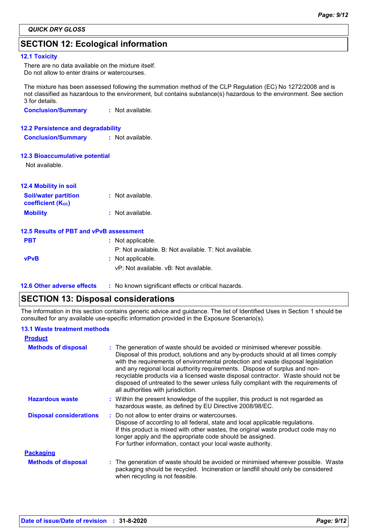### **SECTION 12: Ecological information**

#### **12.1 Toxicity**

There are no data available on the mixture itself. Do not allow to enter drains or watercourses.

The mixture has been assessed following the summation method of the CLP Regulation (EC) No 1272/2008 and is not classified as hazardous to the environment, but contains substance(s) hazardous to the environment. See section 3 for details.

**Conclusion/Summary :** Not available.

#### **12.2 Persistence and degradability**

**Conclusion/Summary :** Not available.

#### **12.3 Bioaccumulative potential**

Not available.

| <b>12.4 Mobility in soil</b> |                  |
|------------------------------|------------------|
| <b>Soil/water partition</b>  | : Not available. |
| <b>coefficient (Koc)</b>     |                  |
| <b>Mobility</b>              | : Not available. |

|             | 12.5 Results of PBT and vPvB assessment               |
|-------------|-------------------------------------------------------|
| <b>PBT</b>  | : Not applicable.                                     |
|             | P: Not available. B: Not available. T: Not available. |
| <b>vPvB</b> | : Not applicable.                                     |
|             | vP: Not available. vB: Not available.                 |
|             |                                                       |

**12.6 Other adverse effects** : No known significant effects or critical hazards.

### **SECTION 13: Disposal considerations**

The information in this section contains generic advice and guidance. The list of Identified Uses in Section 1 should be consulted for any available use-specific information provided in the Exposure Scenario(s).

#### **13.1 Waste treatment methods**

| <b>Product</b>                 |                                                                                                                                                                                                                                                                                                                                                                                                                                                                                                                                                      |
|--------------------------------|------------------------------------------------------------------------------------------------------------------------------------------------------------------------------------------------------------------------------------------------------------------------------------------------------------------------------------------------------------------------------------------------------------------------------------------------------------------------------------------------------------------------------------------------------|
| <b>Methods of disposal</b>     | : The generation of waste should be avoided or minimised wherever possible.<br>Disposal of this product, solutions and any by-products should at all times comply<br>with the requirements of environmental protection and waste disposal legislation<br>and any regional local authority requirements. Dispose of surplus and non-<br>recyclable products via a licensed waste disposal contractor. Waste should not be<br>disposed of untreated to the sewer unless fully compliant with the requirements of<br>all authorities with jurisdiction. |
| <b>Hazardous waste</b>         | : Within the present knowledge of the supplier, this product is not regarded as<br>hazardous waste, as defined by EU Directive 2008/98/EC.                                                                                                                                                                                                                                                                                                                                                                                                           |
| <b>Disposal considerations</b> | : Do not allow to enter drains or watercourses.<br>Dispose of according to all federal, state and local applicable regulations.<br>If this product is mixed with other wastes, the original waste product code may no<br>longer apply and the appropriate code should be assigned.<br>For further information, contact your local waste authority.                                                                                                                                                                                                   |
| <b>Packaging</b>               |                                                                                                                                                                                                                                                                                                                                                                                                                                                                                                                                                      |
| <b>Methods of disposal</b>     | : The generation of waste should be avoided or minimised wherever possible. Waste<br>packaging should be recycled. Incineration or landfill should only be considered<br>when recycling is not feasible.                                                                                                                                                                                                                                                                                                                                             |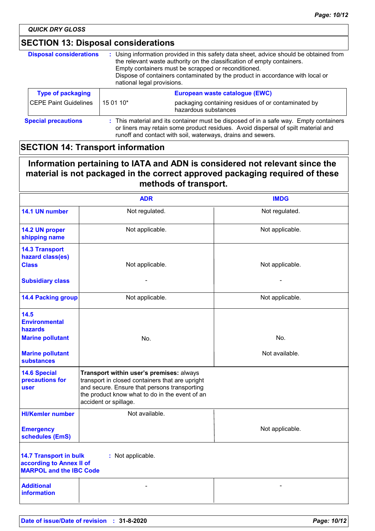*QUICK DRY GLOSS*

### **SECTION 13: Disposal considerations**

| <b>Disposal considerations</b> | : Using information provided in this safety data sheet, advice should be obtained from<br>the relevant waste authority on the classification of empty containers.<br>Empty containers must be scrapped or reconditioned.<br>Dispose of containers contaminated by the product in accordance with local or<br>national legal provisions. |                                                                             |  |
|--------------------------------|-----------------------------------------------------------------------------------------------------------------------------------------------------------------------------------------------------------------------------------------------------------------------------------------------------------------------------------------|-----------------------------------------------------------------------------|--|
| <b>Type of packaging</b>       |                                                                                                                                                                                                                                                                                                                                         | European waste catalogue (EWC)                                              |  |
| <b>CEPE Paint Guidelines</b>   | 15 01 10*                                                                                                                                                                                                                                                                                                                               | packaging containing residues of or contaminated by<br>hazardous substances |  |
| <b>Special precautions</b>     | : This material and its container must be disposed of in a safe way. Empty containers<br>or liners may retain some product residues. Avoid dispersal of spilt material and<br>runoff and contact with soil, waterways, drains and sewers.                                                                                               |                                                                             |  |

### **SECTION 14: Transport information**

### **Information pertaining to IATA and ADN is considered not relevant since the material is not packaged in the correct approved packaging required of these methods of transport.**

|                                                                                             | <b>ADR</b>                                                                                                                                                                                                             | <b>IMDG</b>     |
|---------------------------------------------------------------------------------------------|------------------------------------------------------------------------------------------------------------------------------------------------------------------------------------------------------------------------|-----------------|
| 14.1 UN number                                                                              | Not regulated.                                                                                                                                                                                                         | Not regulated.  |
| 14.2 UN proper<br>shipping name                                                             | Not applicable.                                                                                                                                                                                                        | Not applicable. |
| <b>14.3 Transport</b><br>hazard class(es)<br><b>Class</b>                                   | Not applicable.                                                                                                                                                                                                        | Not applicable. |
| <b>Subsidiary class</b>                                                                     |                                                                                                                                                                                                                        |                 |
| <b>14.4 Packing group</b>                                                                   | Not applicable.                                                                                                                                                                                                        | Not applicable. |
| 14.5<br><b>Environmental</b><br>hazards                                                     |                                                                                                                                                                                                                        |                 |
| <b>Marine pollutant</b>                                                                     | No.                                                                                                                                                                                                                    | No.             |
| <b>Marine pollutant</b><br>substances                                                       |                                                                                                                                                                                                                        | Not available.  |
| <b>14.6 Special</b><br>precautions for<br>user                                              | Transport within user's premises: always<br>transport in closed containers that are upright<br>and secure. Ensure that persons transporting<br>the product know what to do in the event of an<br>accident or spillage. |                 |
| <b>HI/Kemler number</b>                                                                     | Not available.                                                                                                                                                                                                         |                 |
| <b>Emergency</b><br>schedules (EmS)                                                         |                                                                                                                                                                                                                        | Not applicable. |
| <b>14.7 Transport in bulk</b><br>according to Annex II of<br><b>MARPOL and the IBC Code</b> | : Not applicable.                                                                                                                                                                                                      |                 |
| <b>Additional</b><br><b>information</b>                                                     |                                                                                                                                                                                                                        |                 |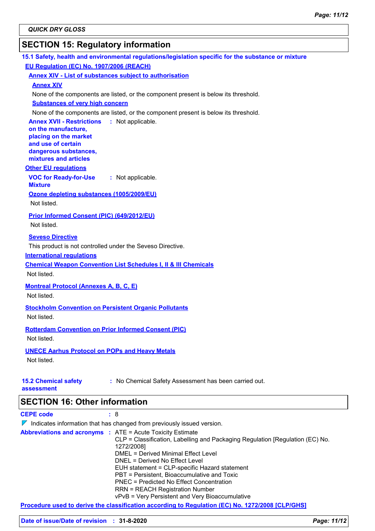### **SECTION 15: Regulatory information**

| 15.1 Safety, health and environmental regulations/legislation specific for the substance or mixture |                                                                                     |  |  |
|-----------------------------------------------------------------------------------------------------|-------------------------------------------------------------------------------------|--|--|
| EU Regulation (EC) No. 1907/2006 (REACH)                                                            |                                                                                     |  |  |
| <b>Annex XIV - List of substances subject to authorisation</b>                                      |                                                                                     |  |  |
| <b>Annex XIV</b>                                                                                    |                                                                                     |  |  |
|                                                                                                     | None of the components are listed, or the component present is below its threshold. |  |  |
| <b>Substances of very high concern</b>                                                              |                                                                                     |  |  |
|                                                                                                     | None of the components are listed, or the component present is below its threshold. |  |  |
| <b>Annex XVII - Restrictions</b><br>: Not applicable.<br>on the manufacture,                        |                                                                                     |  |  |
| placing on the market                                                                               |                                                                                     |  |  |
| and use of certain                                                                                  |                                                                                     |  |  |
| dangerous substances,<br>mixtures and articles                                                      |                                                                                     |  |  |
| <b>Other EU regulations</b>                                                                         |                                                                                     |  |  |
| <b>VOC for Ready-for-Use</b><br>: Not applicable.                                                   |                                                                                     |  |  |
| <b>Mixture</b>                                                                                      |                                                                                     |  |  |
| Ozone depleting substances (1005/2009/EU)                                                           |                                                                                     |  |  |
| Not listed.                                                                                         |                                                                                     |  |  |
| Prior Informed Consent (PIC) (649/2012/EU)                                                          |                                                                                     |  |  |
| Not listed.                                                                                         |                                                                                     |  |  |
| <b>Seveso Directive</b>                                                                             |                                                                                     |  |  |
| This product is not controlled under the Seveso Directive.                                          |                                                                                     |  |  |
| <b>International requlations</b>                                                                    |                                                                                     |  |  |
| <b>Chemical Weapon Convention List Schedules I, II &amp; III Chemicals</b>                          |                                                                                     |  |  |
| Not listed.                                                                                         |                                                                                     |  |  |
| <b>Montreal Protocol (Annexes A, B, C, E)</b>                                                       |                                                                                     |  |  |
| Not listed.                                                                                         |                                                                                     |  |  |
| <b>Stockholm Convention on Persistent Organic Pollutants</b>                                        |                                                                                     |  |  |
| Not listed.                                                                                         |                                                                                     |  |  |
| <b>Rotterdam Convention on Prior Informed Consent (PIC)</b>                                         |                                                                                     |  |  |
| Not listed.                                                                                         |                                                                                     |  |  |
|                                                                                                     |                                                                                     |  |  |
| <b>UNECE Aarhus Protocol on POPs and Heavy Metals</b><br>Not listed.                                |                                                                                     |  |  |
|                                                                                                     |                                                                                     |  |  |
| <b>15.2 Chemical safety</b>                                                                         | : No Chemical Safety Assessment has been carried out.                               |  |  |
| assessment                                                                                          |                                                                                     |  |  |
| <b>SECTION 16: Other information</b>                                                                |                                                                                     |  |  |
| <b>CEPE code</b><br>: 8                                                                             |                                                                                     |  |  |
| $\nabla$ Indicates information that has changed from previously issued version.                     |                                                                                     |  |  |
| <b>Abbreviations and acronyms : ATE = Acute Toxicity Estimate</b>                                   |                                                                                     |  |  |
| 1272/2008]                                                                                          | CLP = Classification, Labelling and Packaging Regulation [Regulation (EC) No.       |  |  |
|                                                                                                     | <b>DMEL = Derived Minimal Effect Level</b>                                          |  |  |

DNEL = Derived No Effect Level

**Procedure used to derive the classification according to Regulation (EC) No. 1272/2008 [CLP/GHS]**

EUH statement = CLP-specific Hazard statement PBT = Persistent, Bioaccumulative and Toxic PNEC = Predicted No Effect Concentration RRN = REACH Registration Number

vPvB = Very Persistent and Very Bioaccumulative

**Date of issue/Date of revision : 31-8-2020** *Page: 11/12*